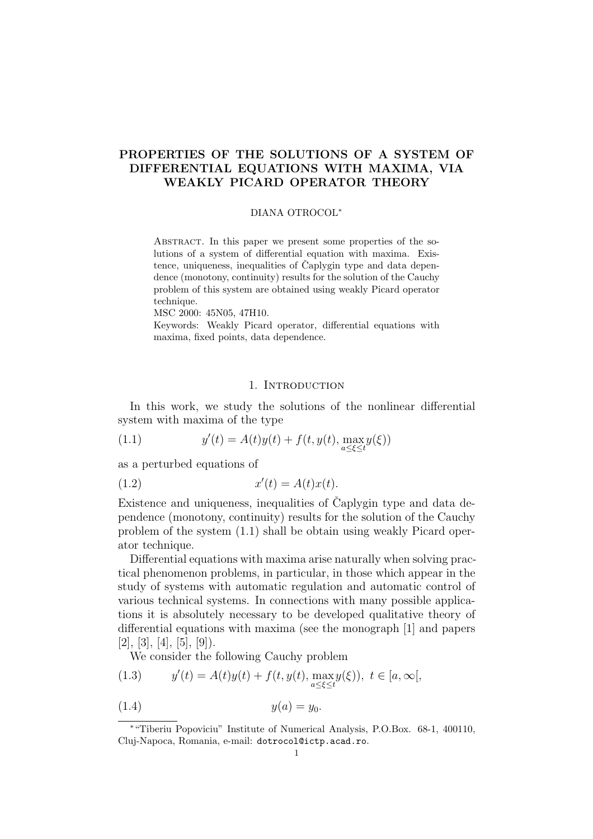# PROPERTIES OF THE SOLUTIONS OF A SYSTEM OF DIFFERENTIAL EQUATIONS WITH MAXIMA, VIA WEAKLY PICARD OPERATOR THEORY

### DIANA OTROCOL<sup>∗</sup>

Abstract. In this paper we present some properties of the solutions of a system of differential equation with maxima. Existence, uniqueness, inequalities of Caplygin type and data dependence (monotony, continuity) results for the solution of the Cauchy problem of this system are obtained using weakly Picard operator technique.

MSC 2000: 45N05, 47H10.

Keywords: Weakly Picard operator, differential equations with maxima, fixed points, data dependence.

## 1. INTRODUCTION

In this work, we study the solutions of the nonlinear differential system with maxima of the type

(1.1) 
$$
y'(t) = A(t)y(t) + f(t, y(t), \max_{a \le \xi \le t} y(\xi))
$$

as a perturbed equations of

$$
(1.2) \t\t x'(t) = A(t)x(t).
$$

Existence and uniqueness, inequalities of Caplygin type and data dependence (monotony, continuity) results for the solution of the Cauchy problem of the system (1.1) shall be obtain using weakly Picard operator technique.

Differential equations with maxima arise naturally when solving practical phenomenon problems, in particular, in those which appear in the study of systems with automatic regulation and automatic control of various technical systems. In connections with many possible applications it is absolutely necessary to be developed qualitative theory of differential equations with maxima (see the monograph [1] and papers  $[2]$ ,  $[3]$ ,  $[4]$ ,  $[5]$ ,  $[9]$ ).

We consider the following Cauchy problem

(1.3) 
$$
y'(t) = A(t)y(t) + f(t, y(t), \max_{a \le \xi \le t} y(\xi)), \ t \in [a, \infty[,
$$

(1.4)  $y(a) = y_0$ .

<sup>∗</sup>"Tiberiu Popoviciu" Institute of Numerical Analysis, P.O.Box. 68-1, 400110, Cluj-Napoca, Romania, e-mail: dotrocol@ictp.acad.ro.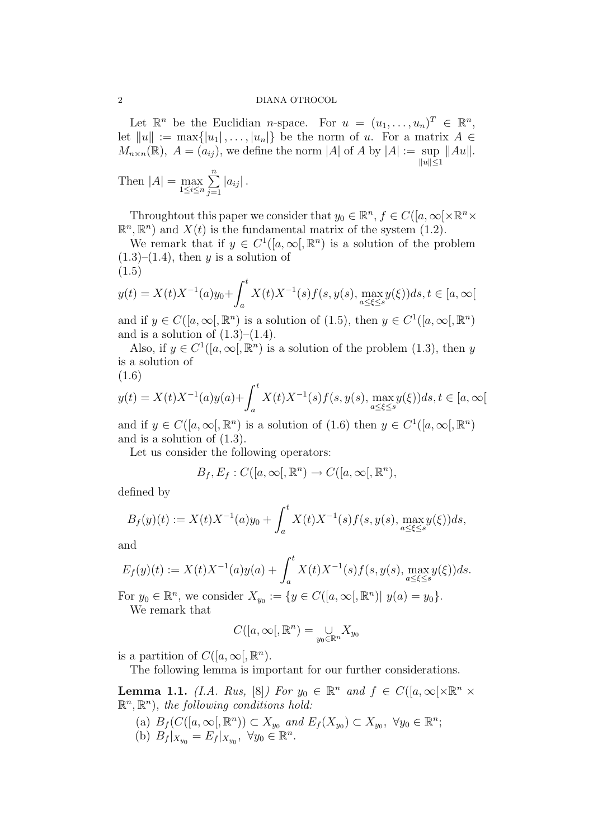Let  $\mathbb{R}^n$  be the Euclidian *n*-space. For  $u = (u_1, \ldots, u_n)^T \in \mathbb{R}^n$ , let  $||u|| := \max\{|u_1|, \ldots, |u_n|\}$  be the norm of u. For a matrix  $A \in$  $M_{n\times n}(\mathbb{R}), A=(a_{ij}),$  we define the norm |A| of A by  $|A|:=\sup$  ||Au||.  $||u|| \leq 1$  $\frac{n}{2}$ 

Then 
$$
|A| = \max_{1 \le i \le n} \sum_{j=1}^{n} |a_{ij}|
$$
.

Throughtout this paper we consider that  $y_0 \in \mathbb{R}^n$ ,  $f \in C([a,\infty[\times \mathbb{R}^n \times$  $\mathbb{R}^n$ ,  $\mathbb{R}^n$ ) and  $X(t)$  is the fundamental matrix of the system (1.2).

We remark that if  $y \in C^1([a,\infty),\mathbb{R}^n)$  is a solution of the problem  $(1.3)$ – $(1.4)$ , then y is a solution of (1.5)

(1.5)  

$$
y(t) = X(t)X^{-1}(a)y_0 + \int_a^t X(t)X^{-1}(s)f(s, y(s), \max_{a \le \xi \le s} y(\xi))ds, t \in [a, \infty[
$$

and if  $y \in C([a,\infty),\mathbb{R}^n)$  is a solution of (1.5), then  $y \in C^1([a,\infty),\mathbb{R}^n)$ and is a solution of  $(1.3)$ – $(1.4)$ .

Also, if  $y \in C^1([a,\infty),\mathbb{R}^n)$  is a solution of the problem (1.3), then y is a solution of

$$
(1.6)
$$

(1.0)  

$$
y(t) = X(t)X^{-1}(a)y(a) + \int_{a}^{t} X(t)X^{-1}(s)f(s, y(s), \max_{a \le \xi \le s} y(\xi))ds, t \in [a, \infty[
$$

and if  $y \in C([a,\infty),\mathbb{R}^n)$  is a solution of  $(1.6)$  then  $y \in C^1([a,\infty),\mathbb{R}^n)$ and is a solution of (1.3).

Let us consider the following operators:

$$
B_f, E_f: C([a,\infty[,\mathbb{R}^n) \to C([a,\infty[,\mathbb{R}^n),
$$

defined by

$$
B_f(y)(t) := X(t)X^{-1}(a)y_0 + \int_a^t X(t)X^{-1}(s)f(s, y(s), \max_{a \le \xi \le s} y(\xi))ds,
$$

and

$$
E_f(y)(t) := X(t)X^{-1}(a)y(a) + \int_a^t X(t)X^{-1}(s)f(s,y(s), \max_{a \le \xi \le s} y(\xi))ds.
$$

For  $y_0 \in \mathbb{R}^n$ , we consider  $X_{y_0} := \{ y \in C([a,\infty[, \mathbb{R}^n) | y(a) = y_0 \}.$ 

We remark that

$$
C([a,\infty[,\mathbb{R}^n) = \bigcup_{y_0 \in \mathbb{R}^n} X_{y_0}
$$

is a partition of  $C([a,\infty),\mathbb{R}^n)$ .

The following lemma is important for our further considerations.

**Lemma 1.1.** (I.A. Rus, [8]) For  $y_0 \in \mathbb{R}^n$  and  $f \in C([a,\infty[\times \mathbb{R}^n \times$  $\mathbb{R}^n, \mathbb{R}^n$ , the following conditions hold:

(a)  $B_f(C([a,\infty], \mathbb{R}^n)) \subset X_{y_0}$  and  $E_f(X_{y_0}) \subset X_{y_0}$ ,  $\forall y_0 \in \mathbb{R}^n$ ; (b)  $B_f |_{X_{y_0}} = E_f |_{X_{y_0}}, \ \forall y_0 \in \mathbb{R}^n$ .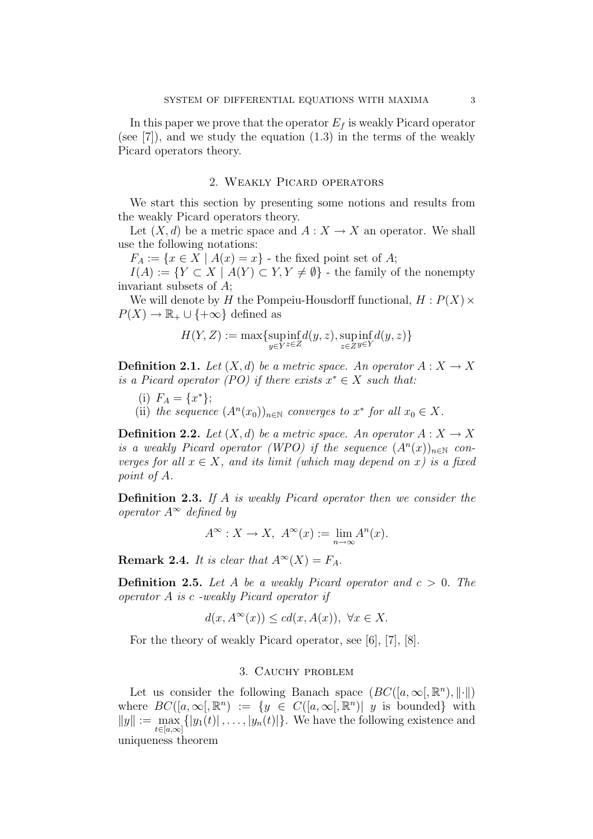In this paper we prove that the operator  $E_f$  is weakly Picard operator (see [7]), and we study the equation  $(1.3)$  in the terms of the weakly Picard operators theory.

## 2. Weakly Picard operators

We start this section by presenting some notions and results from the weakly Picard operators theory.

Let  $(X, d)$  be a metric space and  $A: X \to X$  an operator. We shall use the following notations:

 $F_A := \{x \in X \mid A(x) = x\}$  - the fixed point set of A;

 $I(A) := \{ Y \subset X \mid A(Y) \subset Y, Y \neq \emptyset \}$  - the family of the nonempty invariant subsets of A;

We will denote by H the Pompeiu-Housdorff functional,  $H: P(X) \times$  $P(X) \to \mathbb{R}_+ \cup \{+\infty\}$  defined as

$$
H(Y,Z):=\max\{\mathop{\rm supp\,inf}_{y\in Y}d(y,z),\mathop{\rm supp\,inf}_{z\in Z}d(y,z)\}
$$

**Definition 2.1.** Let  $(X, d)$  be a metric space. An operator  $A: X \to X$ is a Picard operator (PO) if there exists  $x^* \in X$  such that:

- (i)  $F_A = \{x^*\};$
- (ii) the sequence  $(A<sup>n</sup>(x<sub>0</sub>))<sub>n\in\mathbb{N}</sub>$  converges to  $x^*$  for all  $x_0 \in X$ .

**Definition 2.2.** Let  $(X, d)$  be a metric space. An operator  $A: X \to X$ is a weakly Picard operator (WPO) if the sequence  $(A<sup>n</sup>(x))<sub>n\in\mathbb{N}</sub>$  converges for all  $x \in X$ , and its limit (which may depend on x) is a fixed point of A.

Definition 2.3. If A is weakly Picard operator then we consider the operator  $A^{\infty}$  defined by

$$
A^{\infty}: X \to X, \ A^{\infty}(x) := \lim_{n \to \infty} A^n(x).
$$

**Remark 2.4.** It is clear that  $A^{\infty}(X) = F_A$ .

**Definition 2.5.** Let A be a weakly Picard operator and  $c > 0$ . The operator A is c -weakly Picard operator if

$$
d(x, A^{\infty}(x)) \le c d(x, A(x)), \ \forall x \in X.
$$

For the theory of weakly Picard operator, see [6], [7], [8].

## 3. Cauchy problem

Let us consider the following Banach space  $(BC([a,\infty),\mathbb{R}^n),\|\cdot\|)$ where  $BC([a,\infty),\mathbb{R}^n) := \{y \in C([a,\infty),\mathbb{R}^n) | y \text{ is bounded}\}\$  with  $||y|| := \max \{|y_1(t)|, \ldots, |y_n(t)|\}.$  We have the following existence and  $t \in [a,\infty]$ uniqueness theorem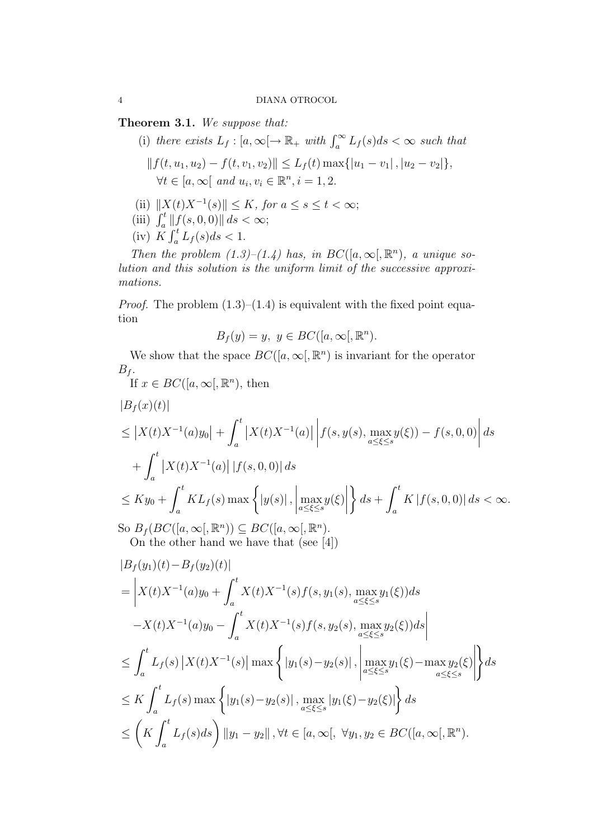Theorem 3.1. We suppose that:

- (i) there exists  $L_f : [a, \infty] \to \mathbb{R}_+$  with  $\int_a^{\infty} L_f(s) ds < \infty$  such that  $|| f(t, u_1, u_2) - f(t, v_1, v_2)|| \leq L_f(t) \max\{|u_1 - v_1|, |u_2 - v_2|\},$  $\forall t \in [a, \infty[ \text{ and } u_i, v_i \in \mathbb{R}^n, i = 1, 2.$
- (ii)  $||X(t)X^{-1}(s)|| \leq K$ , for  $a \leq s \leq t < \infty$ ;
- (iii)  $\int_a^t \|f(s, 0, 0)\| ds < \infty;$
- $\begin{array}{cc} \text{(ii)} & J_a & \|J_a\| \ \text{(iv)} & K & \int_a^t \end{array}$  $\int_a^t L_f(s)ds < 1.$

Then the problem  $(1.3)$ – $(1.4)$  has, in  $BC([a,\infty),\mathbb{R}^n)$ , a unique solution and this solution is the uniform limit of the successive approximations.

*Proof.* The problem  $(1.3)$ – $(1.4)$  is equivalent with the fixed point equation

$$
B_f(y) = y, \ y \in BC([a, \infty[, \mathbb{R}^n).
$$

We show that the space  $BC([a,\infty],\mathbb{R}^n)$  is invariant for the operator  $B_f$ . If  $x \in BC([a,\infty), \mathbb{R}^n)$ , then

$$
|B_f(x)(t)|
$$
  
\n
$$
\leq |X(t)X^{-1}(a)y_0| + \int_a^t |X(t)X^{-1}(a)| |f(s, y(s), \max_{a \leq \xi \leq s} y(\xi)) - f(s, 0, 0)| ds
$$
  
\n
$$
+ \int_a^t |X(t)X^{-1}(a)| |f(s, 0, 0)| ds
$$
  
\n
$$
\leq Ky_0 + \int_a^t KL_f(s) \max \left\{ |y(s)|, \left| \max_{a \leq \xi \leq s} y(\xi) \right| \right\} ds + \int_a^t K |f(s, 0, 0)| ds < \infty.
$$
  
\nSo  $B_f(BC([a, \infty[, \mathbb{R}^n)) \subseteq BC([a, \infty[, \mathbb{R}^n).$ 

On the other hand we have that (see [4])

$$
|B_f(y_1)(t) - B_f(y_2)(t)|
$$
  
\n
$$
= \left| X(t)X^{-1}(a)y_0 + \int_a^t X(t)X^{-1}(s)f(s, y_1(s), \max_{a \le \xi \le s} y_1(\xi))ds - X(t)X^{-1}(a)y_0 - \int_a^t X(t)X^{-1}(s)f(s, y_2(s), \max_{a \le \xi \le s} y_2(\xi))ds \right|
$$
  
\n
$$
\le \int_a^t L_f(s) |X(t)X^{-1}(s)| \max \left\{ |y_1(s) - y_2(s)|, \left| \max_{a \le \xi \le s} y_1(\xi) - \max_{a \le \xi \le s} y_2(\xi) \right| \right\} ds
$$
  
\n
$$
\le K \int_a^t L_f(s) \max \left\{ |y_1(s) - y_2(s)|, \max_{a \le \xi \le s} |y_1(\xi) - y_2(\xi)| \right\} ds
$$
  
\n
$$
\le \left( K \int_a^t L_f(s) ds \right) ||y_1 - y_2||, \forall t \in [a, \infty[, \forall y_1, y_2 \in BC([a, \infty[, \mathbb{R}^n).
$$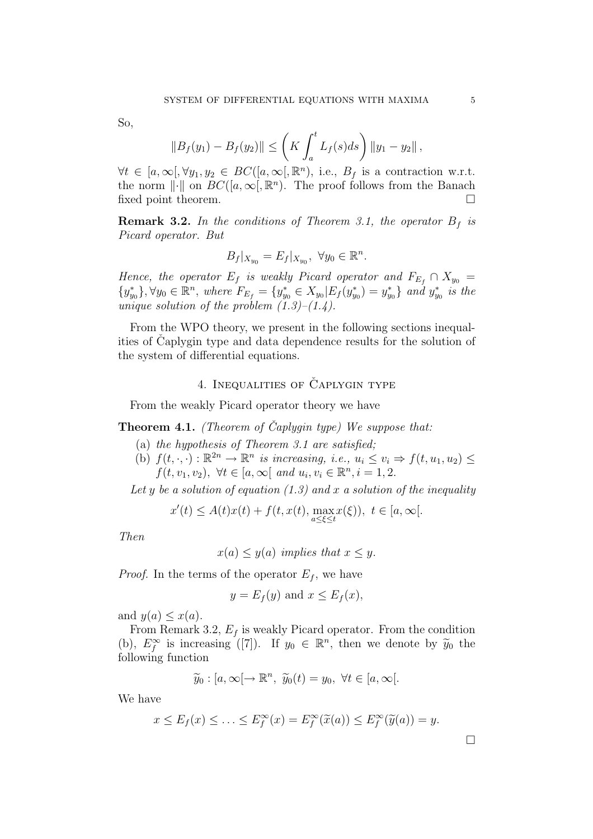So,

$$
||B_f(y_1) - B_f(y_2)|| \le \left(K \int_a^t L_f(s) ds\right) ||y_1 - y_2||,
$$

 $\forall t \in [a, \infty], \forall y_1, y_2 \in BC([a, \infty], \mathbb{R}^n)$ , i.e.,  $B_f$  is a contraction w.r.t. the norm  $\lVert \cdot \rVert$  on  $BC([a,\infty), \mathbb{R}^n)$ . The proof follows from the Banach fixed point theorem.  $\Box$ 

**Remark 3.2.** In the conditions of Theorem 3.1, the operator  $B_f$  is Picard operator. But

$$
B_f|_{X_{y_0}} = E_f|_{X_{y_0}}, \ \forall y_0 \in \mathbb{R}^n.
$$

Hence, the operator  $E_f$  is weakly Picard operator and  $F_{E_f} \cap X_{y_0} =$  ${y_{y_0}^*}, \forall y_0 \in \mathbb{R}^n$ , where  $F_{E_f} = {y_{y_0}^* \in X_{y_0}|E_f(y_{y_0}^*) = y_{y_0}^*}$  and  $y_{y_0}^*$  is the unique solution of the problem  $(1.3)$ – $(1.4)$ .

From the WPO theory, we present in the following sections inequalities of Caplygin type and data dependence results for the solution of the system of differential equations.

## 4. INEQUALITIES OF CAPLYGIN TYPE

From the weakly Picard operator theory we have

**Theorem 4.1.** (Theorem of Caplygin type) We suppose that:

- (a) the hypothesis of Theorem 3.1 are satisfied;
- (b)  $f(t, \cdot, \cdot): \mathbb{R}^{2n} \to \mathbb{R}^n$  is increasing, i.e.,  $u_i \le v_i \Rightarrow f(t, u_1, u_2) \le v_i$  $f(t, v_1, v_2), \ \forall t \in [a, \infty[ \text{ and } u_i, v_i \in \mathbb{R}^n, i = 1, 2.$

Let y be a solution of equation  $(1.3)$  and x a solution of the inequality

$$
x'(t) \le A(t)x(t) + f(t, x(t), \max_{a \le \xi \le t} x(\xi)), \ t \in [a, \infty[.
$$

Then

$$
x(a) \leq y(a)
$$
 implies that  $x \leq y$ .

*Proof.* In the terms of the operator  $E_f$ , we have

$$
y = E_f(y) \text{ and } x \le E_f(x),
$$

and  $y(a) \leq x(a)$ .

From Remark 3.2,  $E_f$  is weakly Picard operator. From the condition (b),  $E_f^{\infty}$  is increasing ([7]). If  $y_0 \in \mathbb{R}^n$ , then we denote by  $\widetilde{y}_0$  the following function

$$
\widetilde{y}_0: [a,\infty[ \to \mathbb{R}^n, \ \widetilde{y}_0(t) = y_0, \ \forall t \in [a,\infty[.
$$

We have

$$
x \le E_f(x) \le \ldots \le E_f^{\infty}(x) = E_f^{\infty}(\widetilde{x}(a)) \le E_f^{\infty}(\widetilde{y}(a)) = y.
$$

¤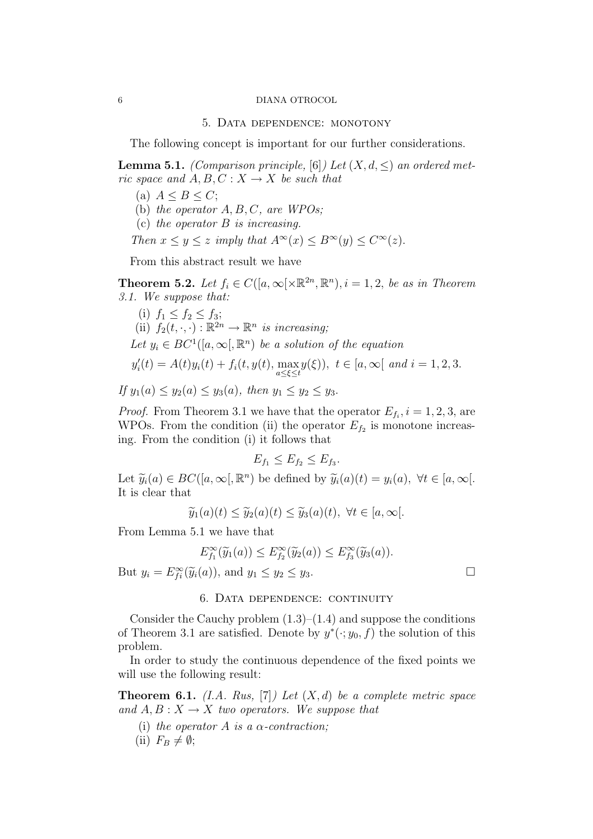#### 6 DIANA OTROCOL

### 5. Data dependence: monotony

The following concept is important for our further considerations.

**Lemma 5.1.** (Comparison principle, [6]) Let  $(X, d, \leq)$  an ordered metric space and  $A, B, C: X \rightarrow X$  be such that

- (a)  $A \leq B \leq C$ ;
- (b) the operator  $A, B, C$ , are WPOs;
- (c) the operator B is increasing.

Then  $x \leq y \leq z$  imply that  $A^{\infty}(x) \leq B^{\infty}(y) \leq C^{\infty}(z)$ .

From this abstract result we have

**Theorem 5.2.** Let  $f_i \in C([a,\infty[\times \mathbb{R}^{2n}, \mathbb{R}^n), i = 1,2, \text{ be as in Theorem})$ 3.1. We suppose that:

(i) 
$$
f_1 \le f_2 \le f_3
$$
;  
\n(ii)  $f_2(t, \cdot, \cdot) : \mathbb{R}^{2n} \to \mathbb{R}^n$  is increasing;  
\nLet  $y_i \in BC^1([a, \infty[, \mathbb{R}^n)$  be a solution of the equation  
\n $y'_i(t) = A(t)y_i(t) + f_i(t, y(t), \max_{a \le \xi \le t} y(\xi)), t \in [a, \infty[$  and  $i = 1, 2, 3$ .  
\nIf  $y_1(a) \le y_2(a) \le y_3(a)$ , then  $y_1 \le y_2 \le y_3$ .

*Proof.* From Theorem 3.1 we have that the operator  $E_{f_i}$ ,  $i = 1, 2, 3$ , are WPOs. From the condition (ii) the operator  $E_{f_2}$  is monotone increasing. From the condition (i) it follows that

$$
E_{f_1} \le E_{f_2} \le E_{f_3}.
$$

Let  $\widetilde{y}_i(a) \in BC([a,\infty], \mathbb{R}^n)$  be defined by  $\widetilde{y}_i(a)(t) = y_i(a), \ \forall t \in [a,\infty[$ . It is clear that

$$
\widetilde{y}_1(a)(t) \le \widetilde{y}_2(a)(t) \le \widetilde{y}_3(a)(t), \ \forall t \in [a, \infty[.
$$

From Lemma 5.1 we have that

$$
E_{f_1}^{\infty}(\widetilde{y}_1(a)) \le E_{f_2}^{\infty}(\widetilde{y}_2(a)) \le E_{f_3}^{\infty}(\widetilde{y}_3(a)).
$$

But  $y_i = E_{fi}^{\infty}(\widetilde{y}_i(a))$ , and  $y_1 \le y_2 \le y_3$ .

## 6. Data dependence: continuity

Consider the Cauchy problem  $(1.3)$ – $(1.4)$  and suppose the conditions of Theorem 3.1 are satisfied. Denote by  $y^*(\cdot; y_0, f)$  the solution of this problem.

In order to study the continuous dependence of the fixed points we will use the following result:

**Theorem 6.1.** (I.A. Rus, [7]) Let  $(X,d)$  be a complete metric space and  $A, B: X \to X$  two operators. We suppose that

- (i) the operator A is a  $\alpha$ -contraction;
- (ii)  $F_B \neq \emptyset;$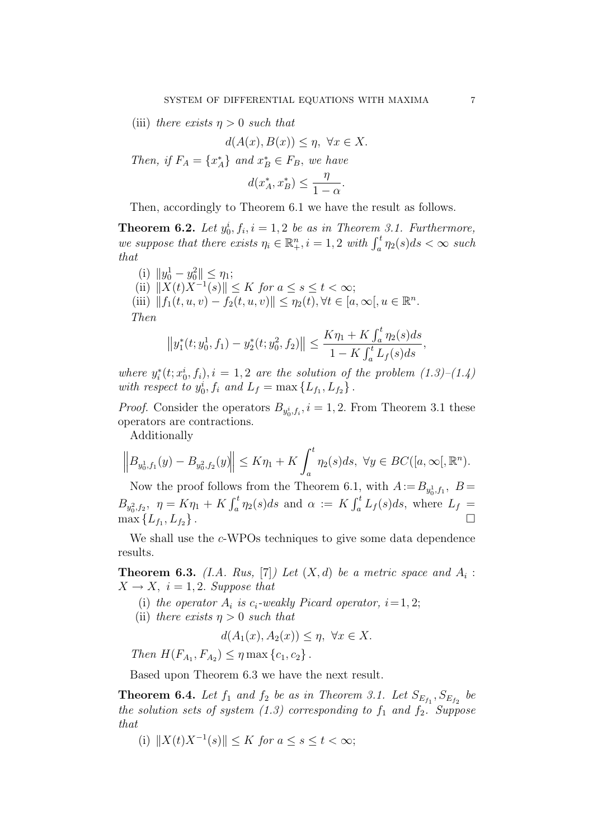(iii) there exists  $\eta > 0$  such that

$$
d(A(x), B(x)) \le \eta, \ \forall x \in X.
$$

Then, if  $F_A = \{x_A^*\}$  and  $x_B^* \in F_B$ , we have

$$
d(x_A^*, x_B^*) \le \frac{\eta}{1-\alpha}.
$$

Then, accordingly to Theorem 6.1 we have the result as follows.

**Theorem 6.2.** Let  $y_0^i$ ,  $f_i$ ,  $i = 1, 2$  be as in Theorem 3.1. Furthermore, **Theorem 0.2.** Let  $y_0, j_i, i = 1, 2$  be as in Theorem 3.1. Furthermore,<br>we suppose that there exists  $\eta_i \in \mathbb{R}^n_+$ ,  $i = 1, 2$  with  $\int_a^t \eta_2(s)ds < \infty$  such that

(i)  $||y_0^1 - y_0^2|| \le \eta_1;$ (ii)  $||X(t)X^{-1}(s)|| \leq K$  for  $a \leq s \leq t < \infty$ ; (iii)  $|| f_1(t, u, v) - f_2(t, u, v) || \leq \eta_2(t), \forall t \in [a, \infty[, u \in \mathbb{R}^n]$ . Then  $\int_0^t$ 

$$
||y_1^*(t; y_0^1, f_1) - y_2^*(t; y_0^2, f_2)|| \le \frac{K\eta_1 + K \int_a^t \eta_2(s)ds}{1 - K \int_a^t L_f(s)ds},
$$

where  $y_i^*(t; x_0^i, f_i)$ ,  $i = 1, 2$  are the solution of the problem  $(1.3)$ – $(1.4)$ with respect to  $y_0^i, f_i$  and  $L_f = \max\{L_{f_1}, L_{f_2}\}.$ 

*Proof.* Consider the operators  $B_{y_0^i, f_i}$ ,  $i = 1, 2$ . From Theorem 3.1 these operators are contractions.

Additionally

$$
\left\|B_{y_0^1, f_1}(y) - B_{y_0^2, f_2}(y)\right\| \le K\eta_1 + K \int_a^t \eta_2(s)ds, \ \forall y \in BC([a, \infty[, \mathbb{R}^n).
$$

Now the proof follows from the Theorem 6.1, with  $A := B_{y_0^1, f_1}$ ,  $B =$  $B_{y_0^2, f_2}$ ,  $\eta = K \eta_1 + K \int_a^t \eta_2(s) ds$  and  $\alpha := K \int_a^t L_f(s) ds$ , where  $\frac{r}{t}$  $\int_a^t \eta_2(s)ds$  and  $\alpha := K$  $\frac{1}{t}$  $\int_a^t L_f(s)ds$ , where  $L_f =$  $\max\{L_{f_1}, L_{f_2}\}\.$ 

We shall use the c-WPOs techniques to give some data dependence results.

**Theorem 6.3.** (I.A. Rus, [7]) Let  $(X,d)$  be a metric space and  $A_i$ :  $X \rightarrow X$ ,  $i = 1, 2$ . Suppose that

- (i) the operator  $A_i$  is  $c_i$ -weakly Picard operator,  $i=1, 2;$
- (ii) there exists  $\eta > 0$  such that

$$
d(A_1(x), A_2(x)) \le \eta, \ \forall x \in X.
$$

Then  $H(F_{A_1}, F_{A_2}) \leq \eta \max\{c_1, c_2\}.$ 

Based upon Theorem 6.3 we have the next result.

**Theorem 6.4.** Let  $f_1$  and  $f_2$  be as in Theorem 3.1. Let  $S_{E_{f_1}}, S_{E_{f_2}}$  be the solution sets of system  $(1.3)$  corresponding to  $f_1$  and  $f_2$ . Suppose that

(i)  $||X(t)X^{-1}(s)|| \leq K$  for  $a \leq s \leq t < \infty$ ;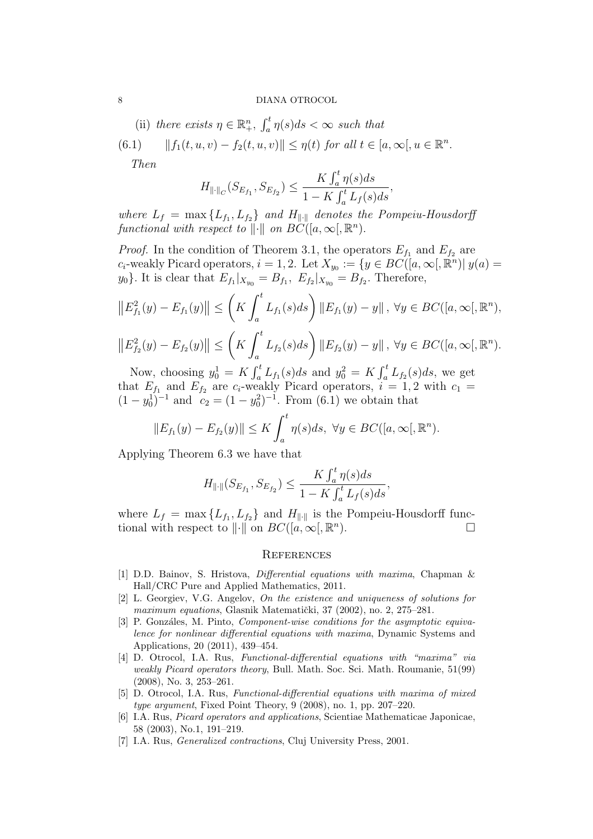(ii) there exists  $\eta \in \mathbb{R}^n_+,$  $\int_0^t$  $\int_a^t \eta(s)ds < \infty$  such that

(6.1) 
$$
||f_1(t, u, v) - f_2(t, u, v)|| \leq \eta(t)
$$
 for all  $t \in [a, \infty], u \in \mathbb{R}^n$ .

Then

$$
H_{\|\cdot\|_C}(S_{E_{f_1}}, S_{E_{f_2}}) \le \frac{K \int_a^t \eta(s) ds}{1 - K \int_a^t L_f(s) ds}
$$

,

where  $L_f = \max\{L_{f_1}, L_{f_2}\}\$  and  $H_{\|\cdot\|}$  denotes the Pompeiu-Housdorff functional with respect to  $\|\cdot\|$  on  $BC([a,\infty), \mathbb{R}^n)$ .

*Proof.* In the condition of Theorem 3.1, the operators  $E_{f_1}$  and  $E_{f_2}$  are c<sub>i</sub>-weakly Picard operators,  $i = 1, 2$ . Let  $X_{y_0} := \{y \in BC([a, \infty), \mathbb{R}^n) | y(a) =$  $y_0$ . It is clear that  $E_{f_1}|_{X_{y_0}} = B_{f_1}, E_{f_2}|_{X_{y_0}} = B_{f_2}.$  Therefore,

$$
||E_{f_1}^2(y) - E_{f_1}(y)|| \leq \left(K \int_a^t L_{f_1}(s)ds\right) ||E_{f_1}(y) - y||, \ \forall y \in BC([a, \infty[, \mathbb{R}^n),||E_{f_2}^2(y) - E_{f_2}(y)|| \leq \left(K \int_a^t L_{f_2}(s)ds\right) ||E_{f_2}(y) - y||, \ \forall y \in BC([a, \infty[, \mathbb{R}^n).
$$

Now, choosing  $y_0^1 = K$  $\int_a^t L_{f_1}(s)ds$  and  $y_0^2 = K$  $\int_a^t L_{f_2}(s)ds$ , we get that  $E_{f_1}$  and  $E_{f_2}$  are  $c_i$ -weakly Picard operators,  $i = 1, 2$  with  $c_1 =$  $(1-y_0^1)^{-1}$  and  $c_2 = (1-y_0^2)^{-1}$ . From (6.1) we obtain that

$$
||E_{f_1}(y) - E_{f_2}(y)|| \leq K \int_a^t \eta(s)ds, \ \forall y \in BC([a, \infty[, \mathbb{R}^n).
$$

Applying Theorem 6.3 we have that

$$
H_{\|\cdot\|}(S_{E_{f_1}}, S_{E_{f_2}}) \le \frac{K \int_a^t \eta(s) ds}{1 - K \int_a^t L_f(s) ds},
$$

where  $L_f = \max\{L_{f_1}, L_{f_2}\}\$  and  $H_{\|\cdot\|}$  is the Pompeiu-Housdorff functional with respect to  $\|\cdot\|$  on  $BC([a,\infty),\mathbb{R}^n)$ ).  $\Box$ 

### **REFERENCES**

- [1] D.D. Bainov, S. Hristova, Differential equations with maxima, Chapman & Hall/CRC Pure and Applied Mathematics, 2011.
- [2] L. Georgiev, V.G. Angelov, On the existence and uniqueness of solutions for maximum equations, Glasnik Matematički, 37 (2002), no. 2, 275–281.
- [3] P. Gonzáles, M. Pinto, *Component-wise conditions for the asymptotic equiva*lence for nonlinear differential equations with maxima, Dynamic Systems and Applications, 20 (2011), 439–454.
- [4] D. Otrocol, I.A. Rus, Functional-differential equations with "maxima" via weakly Picard operators theory, Bull. Math. Soc. Sci. Math. Roumanie, 51(99) (2008), No. 3, 253–261.
- [5] D. Otrocol, I.A. Rus, Functional-differential equations with maxima of mixed type argument, Fixed Point Theory, 9 (2008), no. 1, pp. 207–220.
- [6] I.A. Rus, Picard operators and applications, Scientiae Mathematicae Japonicae, 58 (2003), No.1, 191–219.
- [7] I.A. Rus, *Generalized contractions*, Cluj University Press, 2001.